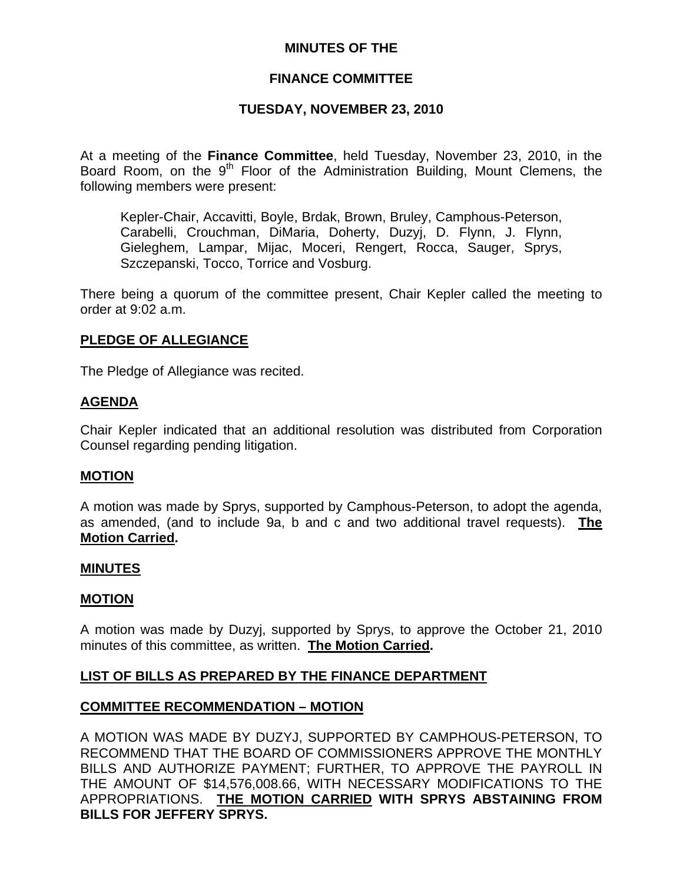## **MINUTES OF THE**

## **FINANCE COMMITTEE**

## **TUESDAY, NOVEMBER 23, 2010**

At a meeting of the **Finance Committee**, held Tuesday, November 23, 2010, in the Board Room, on the  $9<sup>th</sup>$  Floor of the Administration Building, Mount Clemens, the following members were present:

Kepler-Chair, Accavitti, Boyle, Brdak, Brown, Bruley, Camphous-Peterson, Carabelli, Crouchman, DiMaria, Doherty, Duzyj, D. Flynn, J. Flynn, Gieleghem, Lampar, Mijac, Moceri, Rengert, Rocca, Sauger, Sprys, Szczepanski, Tocco, Torrice and Vosburg.

There being a quorum of the committee present, Chair Kepler called the meeting to order at 9:02 a.m.

## **PLEDGE OF ALLEGIANCE**

The Pledge of Allegiance was recited.

### **AGENDA**

Chair Kepler indicated that an additional resolution was distributed from Corporation Counsel regarding pending litigation.

#### **MOTION**

A motion was made by Sprys, supported by Camphous-Peterson, to adopt the agenda, as amended, (and to include 9a, b and c and two additional travel requests). **The Motion Carried.** 

#### **MINUTES**

#### **MOTION**

A motion was made by Duzyj, supported by Sprys, to approve the October 21, 2010 minutes of this committee, as written. **The Motion Carried.** 

### **LIST OF BILLS AS PREPARED BY THE FINANCE DEPARTMENT**

### **COMMITTEE RECOMMENDATION – MOTION**

A MOTION WAS MADE BY DUZYJ, SUPPORTED BY CAMPHOUS-PETERSON, TO RECOMMEND THAT THE BOARD OF COMMISSIONERS APPROVE THE MONTHLY BILLS AND AUTHORIZE PAYMENT; FURTHER, TO APPROVE THE PAYROLL IN THE AMOUNT OF \$14,576,008.66, WITH NECESSARY MODIFICATIONS TO THE APPROPRIATIONS. **THE MOTION CARRIED WITH SPRYS ABSTAINING FROM BILLS FOR JEFFERY SPRYS.**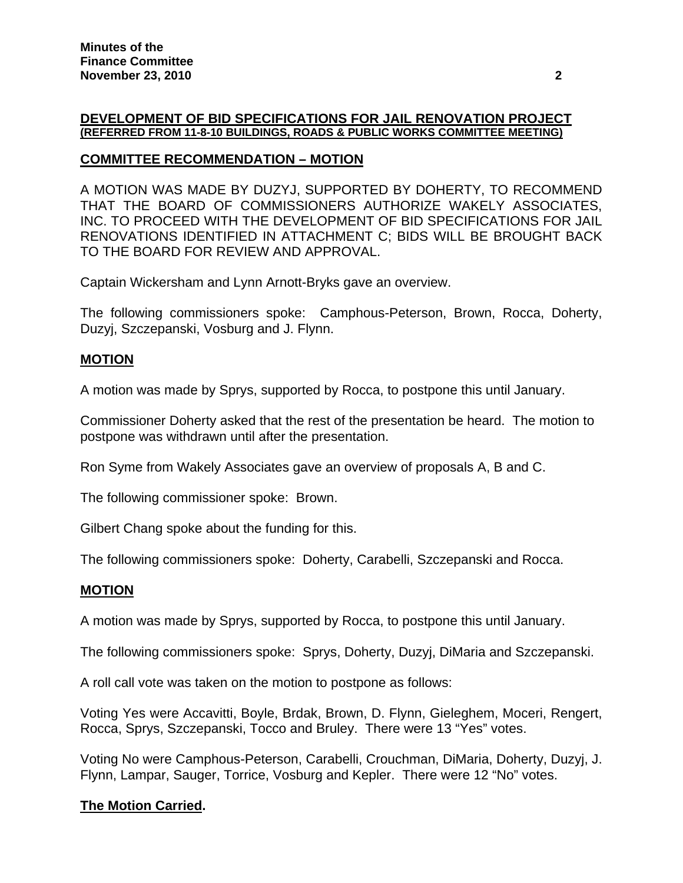### **DEVELOPMENT OF BID SPECIFICATIONS FOR JAIL RENOVATION PROJECT (REFERRED FROM 11-8-10 BUILDINGS, ROADS & PUBLIC WORKS COMMITTEE MEETING)**

# **COMMITTEE RECOMMENDATION – MOTION**

A MOTION WAS MADE BY DUZYJ, SUPPORTED BY DOHERTY, TO RECOMMEND THAT THE BOARD OF COMMISSIONERS AUTHORIZE WAKELY ASSOCIATES, INC. TO PROCEED WITH THE DEVELOPMENT OF BID SPECIFICATIONS FOR JAIL RENOVATIONS IDENTIFIED IN ATTACHMENT C; BIDS WILL BE BROUGHT BACK TO THE BOARD FOR REVIEW AND APPROVAL.

Captain Wickersham and Lynn Arnott-Bryks gave an overview.

The following commissioners spoke: Camphous-Peterson, Brown, Rocca, Doherty, Duzyj, Szczepanski, Vosburg and J. Flynn.

# **MOTION**

A motion was made by Sprys, supported by Rocca, to postpone this until January.

Commissioner Doherty asked that the rest of the presentation be heard. The motion to postpone was withdrawn until after the presentation.

Ron Syme from Wakely Associates gave an overview of proposals A, B and C.

The following commissioner spoke: Brown.

Gilbert Chang spoke about the funding for this.

The following commissioners spoke: Doherty, Carabelli, Szczepanski and Rocca.

### **MOTION**

A motion was made by Sprys, supported by Rocca, to postpone this until January.

The following commissioners spoke: Sprys, Doherty, Duzyj, DiMaria and Szczepanski.

A roll call vote was taken on the motion to postpone as follows:

Voting Yes were Accavitti, Boyle, Brdak, Brown, D. Flynn, Gieleghem, Moceri, Rengert, Rocca, Sprys, Szczepanski, Tocco and Bruley. There were 13 "Yes" votes.

Voting No were Camphous-Peterson, Carabelli, Crouchman, DiMaria, Doherty, Duzyj, J. Flynn, Lampar, Sauger, Torrice, Vosburg and Kepler. There were 12 "No" votes.

# **The Motion Carried.**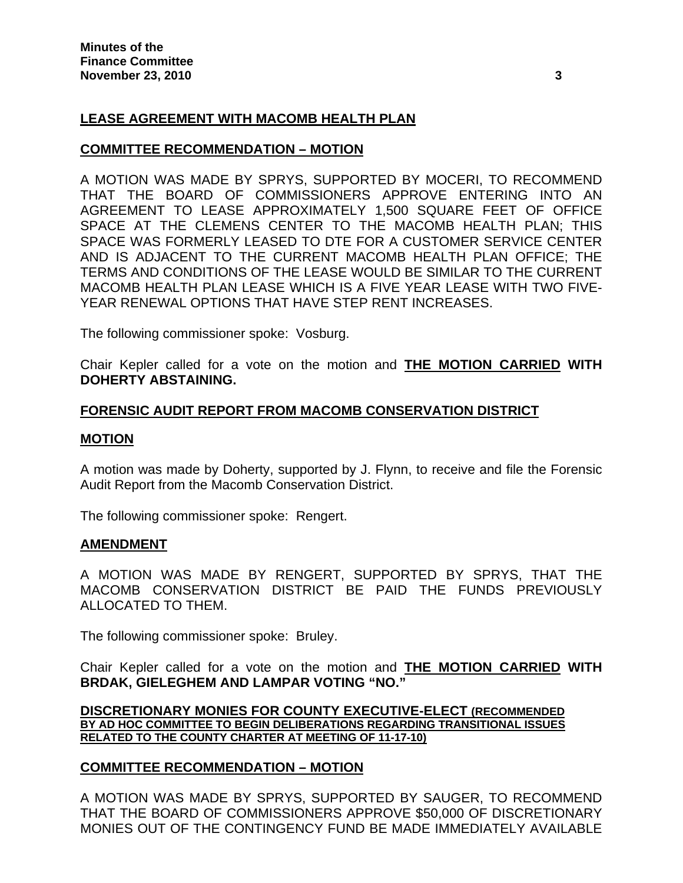# **LEASE AGREEMENT WITH MACOMB HEALTH PLAN**

## **COMMITTEE RECOMMENDATION – MOTION**

A MOTION WAS MADE BY SPRYS, SUPPORTED BY MOCERI, TO RECOMMEND THAT THE BOARD OF COMMISSIONERS APPROVE ENTERING INTO AN AGREEMENT TO LEASE APPROXIMATELY 1,500 SQUARE FEET OF OFFICE SPACE AT THE CLEMENS CENTER TO THE MACOMB HEALTH PLAN; THIS SPACE WAS FORMERLY LEASED TO DTE FOR A CUSTOMER SERVICE CENTER AND IS ADJACENT TO THE CURRENT MACOMB HEALTH PLAN OFFICE; THE TERMS AND CONDITIONS OF THE LEASE WOULD BE SIMILAR TO THE CURRENT MACOMB HEALTH PLAN LEASE WHICH IS A FIVE YEAR LEASE WITH TWO FIVE-YEAR RENEWAL OPTIONS THAT HAVE STEP RENT INCREASES.

The following commissioner spoke: Vosburg.

Chair Kepler called for a vote on the motion and **THE MOTION CARRIED WITH DOHERTY ABSTAINING.** 

### **FORENSIC AUDIT REPORT FROM MACOMB CONSERVATION DISTRICT**

### **MOTION**

A motion was made by Doherty, supported by J. Flynn, to receive and file the Forensic Audit Report from the Macomb Conservation District.

The following commissioner spoke: Rengert.

### **AMENDMENT**

A MOTION WAS MADE BY RENGERT, SUPPORTED BY SPRYS, THAT THE MACOMB CONSERVATION DISTRICT BE PAID THE FUNDS PREVIOUSLY ALLOCATED TO THEM.

The following commissioner spoke: Bruley.

Chair Kepler called for a vote on the motion and **THE MOTION CARRIED WITH BRDAK, GIELEGHEM AND LAMPAR VOTING "NO."** 

**DISCRETIONARY MONIES FOR COUNTY EXECUTIVE-ELECT (RECOMMENDED BY AD HOC COMMITTEE TO BEGIN DELIBERATIONS REGARDING TRANSITIONAL ISSUES RELATED TO THE COUNTY CHARTER AT MEETING OF 11-17-10)**

# **COMMITTEE RECOMMENDATION – MOTION**

A MOTION WAS MADE BY SPRYS, SUPPORTED BY SAUGER, TO RECOMMEND THAT THE BOARD OF COMMISSIONERS APPROVE \$50,000 OF DISCRETIONARY MONIES OUT OF THE CONTINGENCY FUND BE MADE IMMEDIATELY AVAILABLE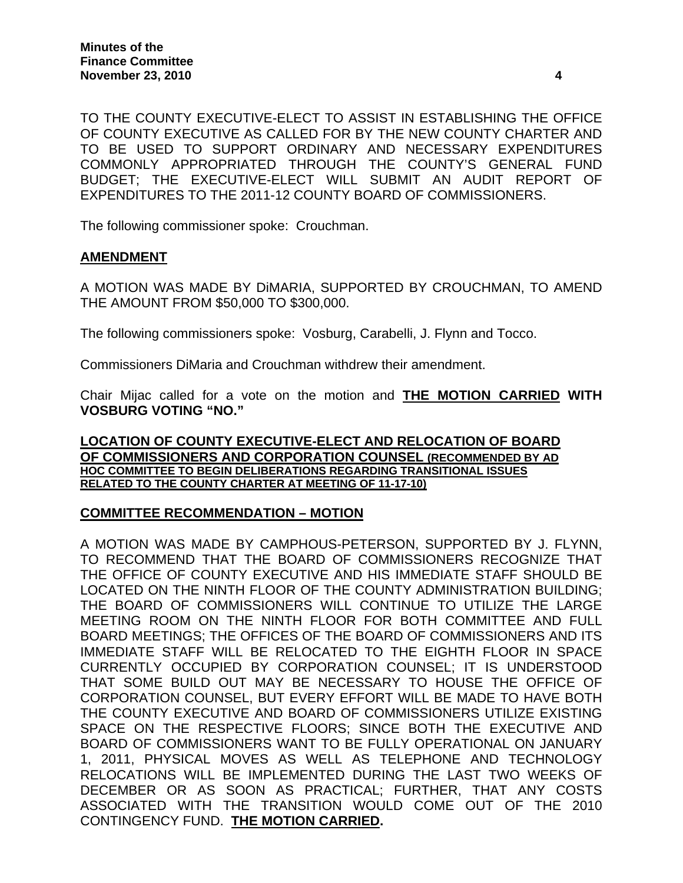TO THE COUNTY EXECUTIVE-ELECT TO ASSIST IN ESTABLISHING THE OFFICE OF COUNTY EXECUTIVE AS CALLED FOR BY THE NEW COUNTY CHARTER AND TO BE USED TO SUPPORT ORDINARY AND NECESSARY EXPENDITURES COMMONLY APPROPRIATED THROUGH THE COUNTY'S GENERAL FUND BUDGET; THE EXECUTIVE-ELECT WILL SUBMIT AN AUDIT REPORT OF EXPENDITURES TO THE 2011-12 COUNTY BOARD OF COMMISSIONERS.

The following commissioner spoke: Crouchman.

# **AMENDMENT**

A MOTION WAS MADE BY DiMARIA, SUPPORTED BY CROUCHMAN, TO AMEND THE AMOUNT FROM \$50,000 TO \$300,000.

The following commissioners spoke: Vosburg, Carabelli, J. Flynn and Tocco.

Commissioners DiMaria and Crouchman withdrew their amendment.

Chair Mijac called for a vote on the motion and **THE MOTION CARRIED WITH VOSBURG VOTING "NO."** 

### **LOCATION OF COUNTY EXECUTIVE-ELECT AND RELOCATION OF BOARD OF COMMISSIONERS AND CORPORATION COUNSEL (RECOMMENDED BY AD HOC COMMITTEE TO BEGIN DELIBERATIONS REGARDING TRANSITIONAL ISSUES RELATED TO THE COUNTY CHARTER AT MEETING OF 11-17-10)**

# **COMMITTEE RECOMMENDATION – MOTION**

A MOTION WAS MADE BY CAMPHOUS-PETERSON, SUPPORTED BY J. FLYNN, TO RECOMMEND THAT THE BOARD OF COMMISSIONERS RECOGNIZE THAT THE OFFICE OF COUNTY EXECUTIVE AND HIS IMMEDIATE STAFF SHOULD BE LOCATED ON THE NINTH FLOOR OF THE COUNTY ADMINISTRATION BUILDING; THE BOARD OF COMMISSIONERS WILL CONTINUE TO UTILIZE THE LARGE MEETING ROOM ON THE NINTH FLOOR FOR BOTH COMMITTEE AND FULL BOARD MEETINGS; THE OFFICES OF THE BOARD OF COMMISSIONERS AND ITS IMMEDIATE STAFF WILL BE RELOCATED TO THE EIGHTH FLOOR IN SPACE CURRENTLY OCCUPIED BY CORPORATION COUNSEL; IT IS UNDERSTOOD THAT SOME BUILD OUT MAY BE NECESSARY TO HOUSE THE OFFICE OF CORPORATION COUNSEL, BUT EVERY EFFORT WILL BE MADE TO HAVE BOTH THE COUNTY EXECUTIVE AND BOARD OF COMMISSIONERS UTILIZE EXISTING SPACE ON THE RESPECTIVE FLOORS; SINCE BOTH THE EXECUTIVE AND BOARD OF COMMISSIONERS WANT TO BE FULLY OPERATIONAL ON JANUARY 1, 2011, PHYSICAL MOVES AS WELL AS TELEPHONE AND TECHNOLOGY RELOCATIONS WILL BE IMPLEMENTED DURING THE LAST TWO WEEKS OF DECEMBER OR AS SOON AS PRACTICAL; FURTHER, THAT ANY COSTS ASSOCIATED WITH THE TRANSITION WOULD COME OUT OF THE 2010 CONTINGENCY FUND. **THE MOTION CARRIED.**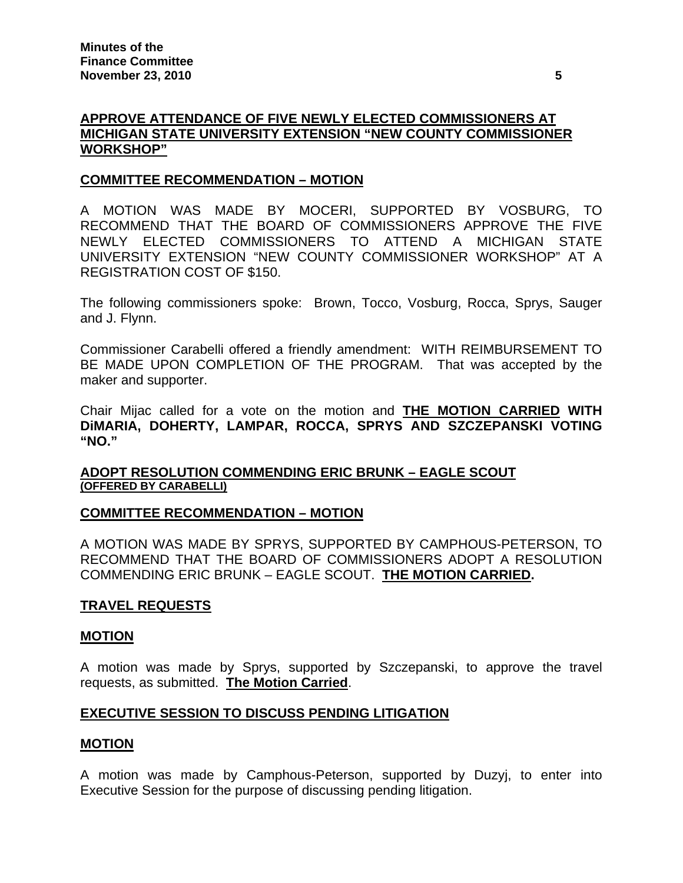# **APPROVE ATTENDANCE OF FIVE NEWLY ELECTED COMMISSIONERS AT MICHIGAN STATE UNIVERSITY EXTENSION "NEW COUNTY COMMISSIONER WORKSHOP"**

## **COMMITTEE RECOMMENDATION – MOTION**

A MOTION WAS MADE BY MOCERI, SUPPORTED BY VOSBURG, TO RECOMMEND THAT THE BOARD OF COMMISSIONERS APPROVE THE FIVE NEWLY ELECTED COMMISSIONERS TO ATTEND A MICHIGAN STATE UNIVERSITY EXTENSION "NEW COUNTY COMMISSIONER WORKSHOP" AT A REGISTRATION COST OF \$150.

The following commissioners spoke: Brown, Tocco, Vosburg, Rocca, Sprys, Sauger and J. Flynn.

Commissioner Carabelli offered a friendly amendment: WITH REIMBURSEMENT TO BE MADE UPON COMPLETION OF THE PROGRAM. That was accepted by the maker and supporter.

Chair Mijac called for a vote on the motion and **THE MOTION CARRIED WITH DiMARIA, DOHERTY, LAMPAR, ROCCA, SPRYS AND SZCZEPANSKI VOTING "NO."** 

## **ADOPT RESOLUTION COMMENDING ERIC BRUNK – EAGLE SCOUT (OFFERED BY CARABELLI)**

### **COMMITTEE RECOMMENDATION – MOTION**

A MOTION WAS MADE BY SPRYS, SUPPORTED BY CAMPHOUS-PETERSON, TO RECOMMEND THAT THE BOARD OF COMMISSIONERS ADOPT A RESOLUTION COMMENDING ERIC BRUNK – EAGLE SCOUT. **THE MOTION CARRIED.** 

### **TRAVEL REQUESTS**

### **MOTION**

A motion was made by Sprys, supported by Szczepanski, to approve the travel requests, as submitted. **The Motion Carried**.

# **EXECUTIVE SESSION TO DISCUSS PENDING LITIGATION**

### **MOTION**

A motion was made by Camphous-Peterson, supported by Duzyj, to enter into Executive Session for the purpose of discussing pending litigation.